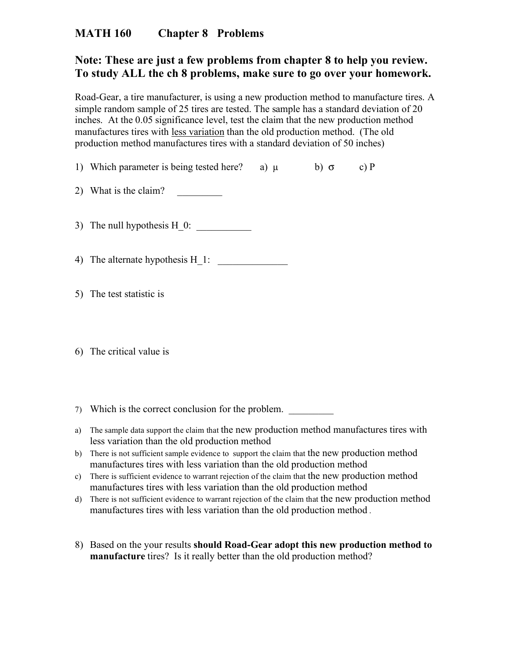## **MATH 160 Chapter 8 Problems**

## **Note: These are just a few problems from chapter 8 to help you review. To study ALL the ch 8 problems, make sure to go over your homework.**

Road-Gear, a tire manufacturer, is using a new production method to manufacture tires. A simple random sample of 25 tires are tested. The sample has a standard deviation of 20 inches. At the 0.05 significance level, test the claim that the new production method manufactures tires with less variation than the old production method. (The old production method manufactures tires with a standard deviation of 50 inches)

- 1) Which parameter is being tested here? a)  $\mu$  b)  $\sigma$  c) P
- 2) What is the claim?

3) The null hypothesis H 0:

4) The alternate hypothesis  $H_1$ :

- 5) The test statistic is
- 6) The critical value is
- 7) Which is the correct conclusion for the problem.
- a) The sample data support the claim that the new production method manufactures tires with less variation than the old production method
- b) There is not sufficient sample evidence to support the claim that the new production method manufactures tires with less variation than the old production method
- c) There is sufficient evidence to warrant rejection of the claim that the new production method manufactures tires with less variation than the old production method
- d) There is not sufficient evidence to warrant rejection of the claim that the new production method manufactures tires with less variation than the old production method .
- 8) Based on the your results **should Road-Gear adopt this new production method to manufacture** tires? Is it really better than the old production method?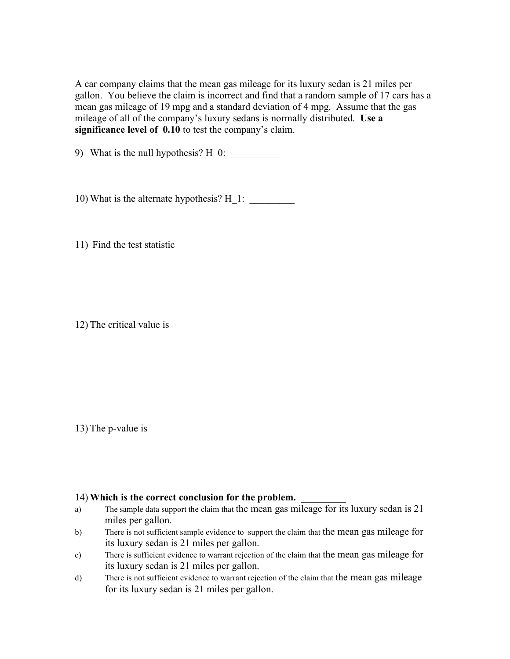A car company claims that the mean gas mileage for its luxury sedan is 21 miles per gallon. You believe the claim is incorrect and find that a random sample of 17 cars has a mean gas mileage of 19 mpg and a standard deviation of 4 mpg. Assume that the gas mileage of all of the company's luxury sedans is normally distributed. **Use a significance level of 0.10** to test the company's claim.

9) What is the null hypothesis?  $H_0$ :

10) What is the alternate hypothesis? H\_1: \_\_\_\_\_\_\_\_\_

11) Find the test statistic

12) The critical value is

13) The p-value is

## 14) Which is the correct conclusion for the problem.

- a) The sample data support the claim that the mean gas mileage for its luxury sedan is 21 miles per gallon.
- b) There is not sufficient sample evidence to support the claim that the mean gas mileage for its luxury sedan is 21 miles per gallon.
- c) There is sufficient evidence to warrant rejection of the claim that the mean gas mileage for its luxury sedan is 21 miles per gallon.
- d) There is not sufficient evidence to warrant rejection of the claim that the mean gas mileage for its luxury sedan is 21 miles per gallon.